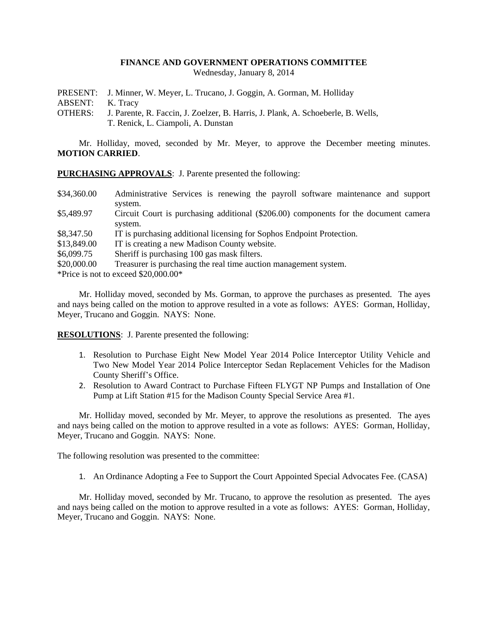## **FINANCE AND GOVERNMENT OPERATIONS COMMITTEE**

Wednesday, January 8, 2014

PRESENT: J. Minner, W. Meyer, L. Trucano, J. Goggin, A. Gorman, M. Holliday

ABSENT: K. Tracy

OTHERS: J. Parente, R. Faccin, J. Zoelzer, B. Harris, J. Plank, A. Schoeberle, B. Wells, T. Renick, L. Ciampoli, A. Dunstan

Mr. Holliday, moved, seconded by Mr. Meyer, to approve the December meeting minutes. **MOTION CARRIED**.

**PURCHASING APPROVALS**: J. Parente presented the following:

| \$34,360.00 | Administrative Services is renewing the payroll software maintenance and support     |
|-------------|--------------------------------------------------------------------------------------|
|             | system.                                                                              |
| \$5,489.97  | Circuit Court is purchasing additional (\$206.00) components for the document camera |
|             | system.                                                                              |
| \$8,347.50  | IT is purchasing additional licensing for Sophos Endpoint Protection.                |
| \$13,849.00 | IT is creating a new Madison County website.                                         |
| \$6,099.75  | Sheriff is purchasing 100 gas mask filters.                                          |
| \$20,000.00 | Treasurer is purchasing the real time auction management system.                     |
|             | *Price is not to exceed $$20,000.00*$                                                |

Mr. Holliday moved, seconded by Ms. Gorman, to approve the purchases as presented. The ayes and nays being called on the motion to approve resulted in a vote as follows: AYES: Gorman, Holliday, Meyer, Trucano and Goggin. NAYS: None.

**RESOLUTIONS**: J. Parente presented the following:

- 1. Resolution to Purchase Eight New Model Year 2014 Police Interceptor Utility Vehicle and Two New Model Year 2014 Police Interceptor Sedan Replacement Vehicles for the Madison County Sheriff's Office.
- 2. Resolution to Award Contract to Purchase Fifteen FLYGT NP Pumps and Installation of One Pump at Lift Station #15 for the Madison County Special Service Area #1.

Mr. Holliday moved, seconded by Mr. Meyer, to approve the resolutions as presented. The ayes and nays being called on the motion to approve resulted in a vote as follows: AYES: Gorman, Holliday, Meyer, Trucano and Goggin. NAYS: None.

The following resolution was presented to the committee:

1. An Ordinance Adopting a Fee to Support the Court Appointed Special Advocates Fee. (CASA)

Mr. Holliday moved, seconded by Mr. Trucano, to approve the resolution as presented. The ayes and nays being called on the motion to approve resulted in a vote as follows: AYES: Gorman, Holliday, Meyer, Trucano and Goggin. NAYS: None.